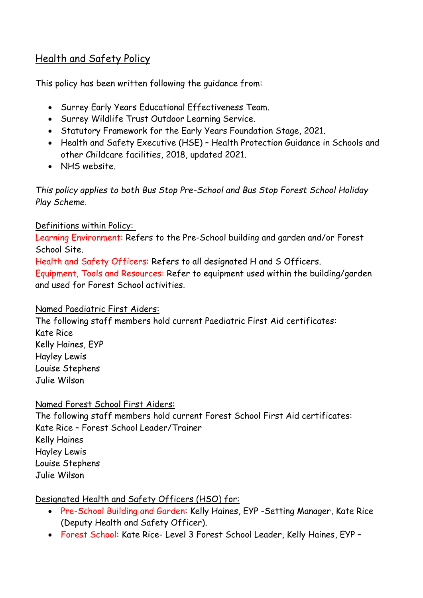# Health and Safety Policy

This policy has been written following the guidance from:

- Surrey Early Years Educational Effectiveness Team.
- Surrey Wildlife Trust Outdoor Learning Service.
- Statutory Framework for the Early Years Foundation Stage, 2021.
- Health and Safety Executive (HSE) Health Protection Guidance in Schools and other Childcare facilities, 2018, updated 2021.
- NHS website.

*This policy applies to both Bus Stop Pre-School and Bus Stop Forest School Holiday Play Scheme.*

# Definitions within Policy:

Learning Environment: Refers to the Pre-School building and garden and/or Forest School Site.

Health and Safety Officers: Refers to all designated H and S Officers. Equipment, Tools and Resources: Refer to equipment used within the building/garden

and used for Forest School activities.

# Named Paediatric First Aiders:

The following staff members hold current Paediatric First Aid certificates: Kate Rice Kelly Haines, EYP Hayley Lewis Louise Stephens Julie Wilson

# Named Forest School First Aiders:

The following staff members hold current Forest School First Aid certificates: Kate Rice – Forest School Leader/Trainer Kelly Haines Hayley Lewis Louise Stephens Julie Wilson

# Designated Health and Safety Officers (HSO) for:

- Pre-School Building and Garden: Kelly Haines, EYP -Setting Manager, Kate Rice (Deputy Health and Safety Officer).
- Forest School: Kate Rice- Level 3 Forest School Leader, Kelly Haines, EYP –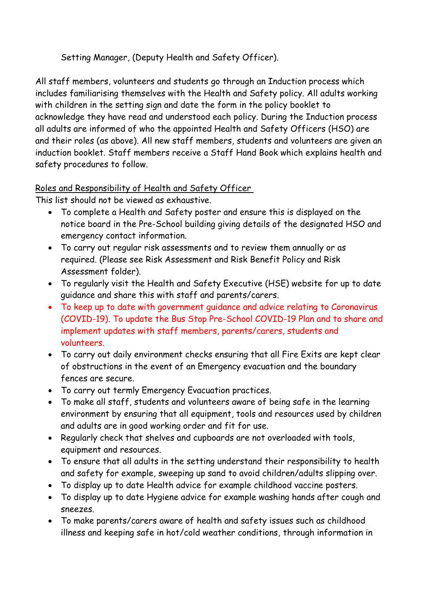# Setting Manager, (Deputy Health and Safety Officer).

All staff members, volunteers and students go through an Induction process which includes familiarising themselves with the Health and Safety policy. All adults working with children in the setting sign and date the form in the policy booklet to acknowledge they have read and understood each policy. During the Induction process all adults are informed of who the appointed Health and Safety Officers (HSO) are and their roles (as above). All new staff members, students and volunteers are given an induction booklet. Staff members receive a Staff Hand Book which explains health and safety procedures to follow.

# Roles and Responsibility of Health and Safety Officer

This list should not be viewed as exhaustive.

- To complete a Health and Safety poster and ensure this is displayed on the notice board in the Pre-School building giving details of the designated HSO and emergency contact information.
- To carry out regular risk assessments and to review them annually or as required. (Please see Risk Assessment and Risk Benefit Policy and Risk Assessment folder).
- To regularly visit the Health and Safety Executive (HSE) website for up to date guidance and share this with staff and parents/carers.
- To keep up to date with government guidance and advice relating to Coronavirus (COVID-19). To update the Bus Stop Pre-School COVID-19 Plan and to share and implement updates with staff members, parents/carers, students and volunteers.
- To carry out daily environment checks ensuring that all Fire Exits are kept clear of obstructions in the event of an Emergency evacuation and the boundary fences are secure.
- To carry out termly Emergency Evacuation practices.
- To make all staff, students and volunteers aware of being safe in the learning environment by ensuring that all equipment, tools and resources used by children and adults are in good working order and fit for use.
- Regularly check that shelves and cupboards are not overloaded with tools, equipment and resources.
- To ensure that all adults in the setting understand their responsibility to health and safety for example, sweeping up sand to avoid children/adults slipping over.
- To display up to date Health advice for example childhood vaccine posters.
- To display up to date Hygiene advice for example washing hands after cough and sneezes.
- To make parents/carers aware of health and safety issues such as childhood illness and keeping safe in hot/cold weather conditions, through information in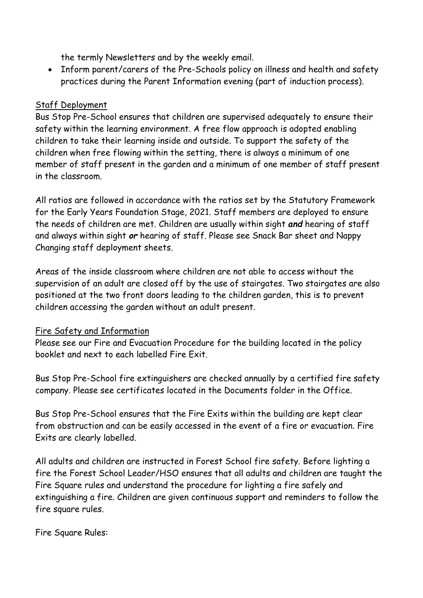the termly Newsletters and by the weekly email.

• Inform parent/carers of the Pre-Schools policy on illness and health and safety practices during the Parent Information evening (part of induction process).

### Staff Deployment

Bus Stop Pre-School ensures that children are supervised adequately to ensure their safety within the learning environment. A free flow approach is adopted enabling children to take their learning inside and outside. To support the safety of the children when free flowing within the setting, there is always a minimum of one member of staff present in the garden and a minimum of one member of staff present in the classroom.

All ratios are followed in accordance with the ratios set by the Statutory Framework for the Early Years Foundation Stage, 2021. Staff members are deployed to ensure the needs of children are met. Children are usually within sight *and* hearing of staff and always within sight *or* hearing of staff. Please see Snack Bar sheet and Nappy Changing staff deployment sheets.

Areas of the inside classroom where children are not able to access without the supervision of an adult are closed off by the use of stairgates. Two stairgates are also positioned at the two front doors leading to the children garden, this is to prevent children accessing the garden without an adult present.

# Fire Safety and Information

Please see our Fire and Evacuation Procedure for the building located in the policy booklet and next to each labelled Fire Exit.

Bus Stop Pre-School fire extinguishers are checked annually by a certified fire safety company. Please see certificates located in the Documents folder in the Office.

Bus Stop Pre-School ensures that the Fire Exits within the building are kept clear from obstruction and can be easily accessed in the event of a fire or evacuation. Fire Exits are clearly labelled.

All adults and children are instructed in Forest School fire safety. Before lighting a fire the Forest School Leader/HSO ensures that all adults and children are taught the Fire Square rules and understand the procedure for lighting a fire safely and extinguishing a fire. Children are given continuous support and reminders to follow the fire square rules.

Fire Square Rules: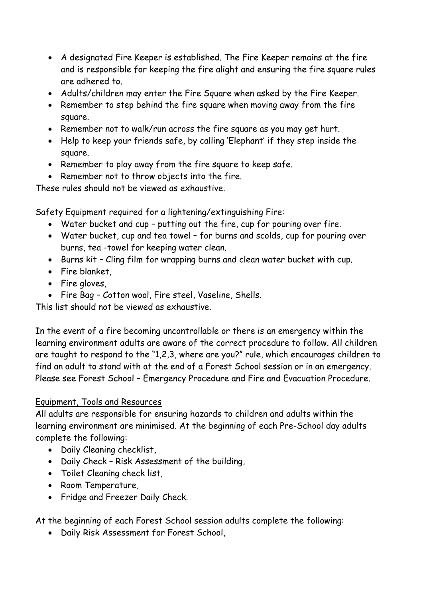- A designated Fire Keeper is established. The Fire Keeper remains at the fire and is responsible for keeping the fire alight and ensuring the fire square rules are adhered to.
- Adults/children may enter the Fire Square when asked by the Fire Keeper.
- Remember to step behind the fire square when moving away from the fire square.
- Remember not to walk/run across the fire square as you may get hurt.
- Help to keep your friends safe, by calling 'Elephant' if they step inside the square.
- Remember to play away from the fire square to keep safe.
- Remember not to throw objects into the fire.

These rules should not be viewed as exhaustive.

Safety Equipment required for a lightening/extinguishing Fire:

- Water bucket and cup putting out the fire, cup for pouring over fire.
- Water bucket, cup and tea towel for burns and scolds, cup for pouring over burns, tea -towel for keeping water clean.
- Burns kit Cling film for wrapping burns and clean water bucket with cup.
- Fire blanket,
- Fire gloves,
- Fire Bag Cotton wool, Fire steel, Vaseline, Shells.

This list should not be viewed as exhaustive.

In the event of a fire becoming uncontrollable or there is an emergency within the learning environment adults are aware of the correct procedure to follow. All children are taught to respond to the "1,2,3, where are you?" rule, which encourages children to find an adult to stand with at the end of a Forest School session or in an emergency. Please see Forest School – Emergency Procedure and Fire and Evacuation Procedure.

### Equipment, Tools and Resources

All adults are responsible for ensuring hazards to children and adults within the learning environment are minimised. At the beginning of each Pre-School day adults complete the following:

- Daily Cleaning checklist,
- Daily Check Risk Assessment of the building,
- Toilet Cleaning check list,
- Room Temperature,
- Fridge and Freezer Daily Check.

At the beginning of each Forest School session adults complete the following:

• Daily Risk Assessment for Forest School,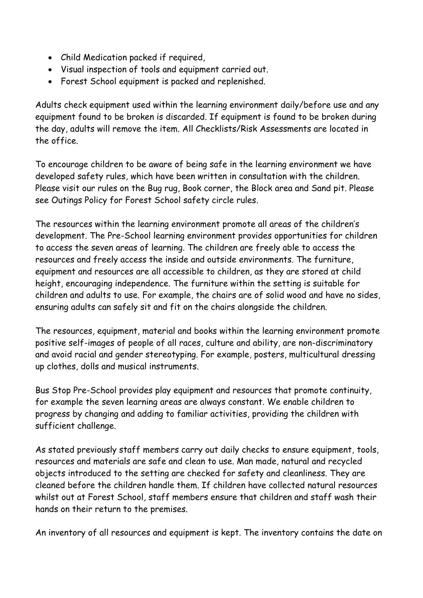- Child Medication packed if required,
- Visual inspection of tools and equipment carried out.
- Forest School equipment is packed and replenished.

Adults check equipment used within the learning environment daily/before use and any equipment found to be broken is discarded. If equipment is found to be broken during the day, adults will remove the item. All Checklists/Risk Assessments are located in the office.

To encourage children to be aware of being safe in the learning environment we have developed safety rules, which have been written in consultation with the children. Please visit our rules on the Bug rug, Book corner, the Block area and Sand pit. Please see Outings Policy for Forest School safety circle rules.

The resources within the learning environment promote all areas of the children's development. The Pre-School learning environment provides opportunities for children to access the seven areas of learning. The children are freely able to access the resources and freely access the inside and outside environments. The furniture, equipment and resources are all accessible to children, as they are stored at child height, encouraging independence. The furniture within the setting is suitable for children and adults to use. For example, the chairs are of solid wood and have no sides, ensuring adults can safely sit and fit on the chairs alongside the children.

The resources, equipment, material and books within the learning environment promote positive self-images of people of all races, culture and ability, are non-discriminatory and avoid racial and gender stereotyping. For example, posters, multicultural dressing up clothes, dolls and musical instruments.

Bus Stop Pre-School provides play equipment and resources that promote continuity, for example the seven learning areas are always constant. We enable children to progress by changing and adding to familiar activities, providing the children with sufficient challenge.

As stated previously staff members carry out daily checks to ensure equipment, tools, resources and materials are safe and clean to use. Man made, natural and recycled objects introduced to the setting are checked for safety and cleanliness. They are cleaned before the children handle them. If children have collected natural resources whilst out at Forest School, staff members ensure that children and staff wash their hands on their return to the premises.

An inventory of all resources and equipment is kept. The inventory contains the date on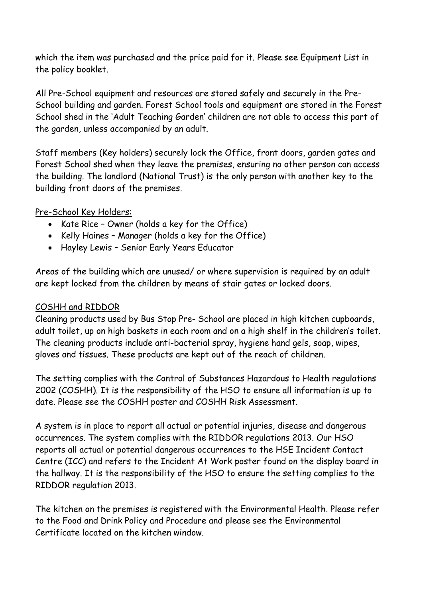which the item was purchased and the price paid for it. Please see Equipment List in the policy booklet.

All Pre-School equipment and resources are stored safely and securely in the Pre-School building and garden. Forest School tools and equipment are stored in the Forest School shed in the 'Adult Teaching Garden' children are not able to access this part of the garden, unless accompanied by an adult.

Staff members (Key holders) securely lock the Office, front doors, garden gates and Forest School shed when they leave the premises, ensuring no other person can access the building. The landlord (National Trust) is the only person with another key to the building front doors of the premises.

#### Pre-School Key Holders:

- Kate Rice Owner (holds a key for the Office)
- Kelly Haines Manager (holds a key for the Office)
- Hayley Lewis Senior Early Years Educator

Areas of the building which are unused/ or where supervision is required by an adult are kept locked from the children by means of stair gates or locked doors.

#### COSHH and RIDDOR

Cleaning products used by Bus Stop Pre- School are placed in high kitchen cupboards, adult toilet, up on high baskets in each room and on a high shelf in the children's toilet. The cleaning products include anti-bacterial spray, hygiene hand gels, soap, wipes, gloves and tissues. These products are kept out of the reach of children.

The setting complies with the Control of Substances Hazardous to Health regulations 2002 (COSHH). It is the responsibility of the HSO to ensure all information is up to date. Please see the COSHH poster and COSHH Risk Assessment.

A system is in place to report all actual or potential injuries, disease and dangerous occurrences. The system complies with the RIDDOR regulations 2013. Our HSO reports all actual or potential dangerous occurrences to the HSE Incident Contact Centre (ICC) and refers to the Incident At Work poster found on the display board in the hallway. It is the responsibility of the HSO to ensure the setting complies to the RIDDOR regulation 2013.

The kitchen on the premises is registered with the Environmental Health. Please refer to the Food and Drink Policy and Procedure and please see the Environmental Certificate located on the kitchen window.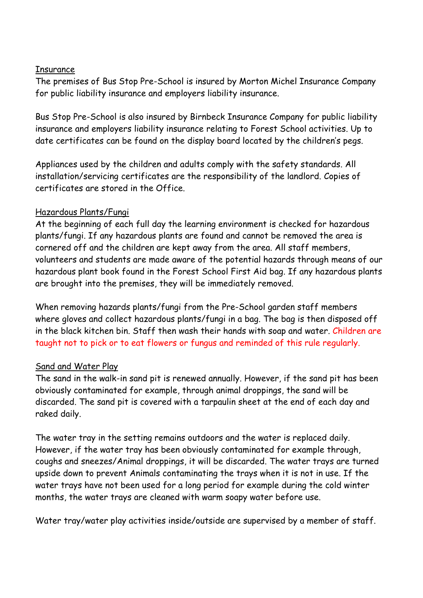#### **Insurance**

The premises of Bus Stop Pre-School is insured by Morton Michel Insurance Company for public liability insurance and employers liability insurance.

Bus Stop Pre-School is also insured by Birnbeck Insurance Company for public liability insurance and employers liability insurance relating to Forest School activities. Up to date certificates can be found on the display board located by the children's pegs.

Appliances used by the children and adults comply with the safety standards. All installation/servicing certificates are the responsibility of the landlord. Copies of certificates are stored in the Office.

### Hazardous Plants/Fungi

At the beginning of each full day the learning environment is checked for hazardous plants/fungi. If any hazardous plants are found and cannot be removed the area is cornered off and the children are kept away from the area. All staff members, volunteers and students are made aware of the potential hazards through means of our hazardous plant book found in the Forest School First Aid bag. If any hazardous plants are brought into the premises, they will be immediately removed.

When removing hazards plants/fungi from the Pre-School garden staff members where gloves and collect hazardous plants/fungi in a bag. The bag is then disposed off in the black kitchen bin. Staff then wash their hands with soap and water. Children are taught not to pick or to eat flowers or fungus and reminded of this rule regularly.

### Sand and Water Play

The sand in the walk-in sand pit is renewed annually. However, if the sand pit has been obviously contaminated for example, through animal droppings, the sand will be discarded. The sand pit is covered with a tarpaulin sheet at the end of each day and raked daily.

The water tray in the setting remains outdoors and the water is replaced daily. However, if the water tray has been obviously contaminated for example through, coughs and sneezes/Animal droppings, it will be discarded. The water trays are turned upside down to prevent Animals contaminating the trays when it is not in use. If the water trays have not been used for a long period for example during the cold winter months, the water trays are cleaned with warm soapy water before use.

Water tray/water play activities inside/outside are supervised by a member of staff.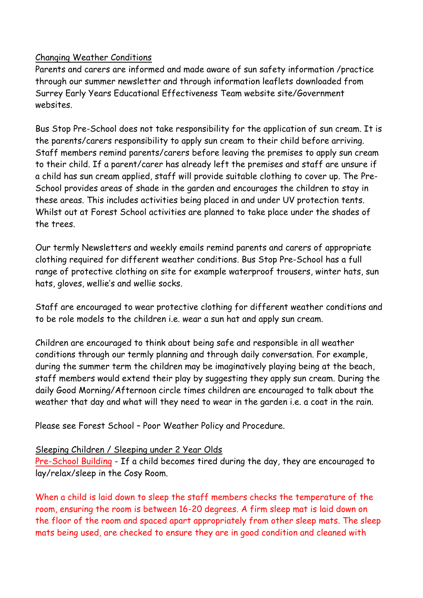### Changing Weather Conditions

Parents and carers are informed and made aware of sun safety information /practice through our summer newsletter and through information leaflets downloaded from Surrey Early Years Educational Effectiveness Team website site/Government websites.

Bus Stop Pre-School does not take responsibility for the application of sun cream. It is the parents/carers responsibility to apply sun cream to their child before arriving. Staff members remind parents/carers before leaving the premises to apply sun cream to their child. If a parent/carer has already left the premises and staff are unsure if a child has sun cream applied, staff will provide suitable clothing to cover up. The Pre-School provides areas of shade in the garden and encourages the children to stay in these areas. This includes activities being placed in and under UV protection tents. Whilst out at Forest School activities are planned to take place under the shades of the trees.

Our termly Newsletters and weekly emails remind parents and carers of appropriate clothing required for different weather conditions. Bus Stop Pre-School has a full range of protective clothing on site for example waterproof trousers, winter hats, sun hats, gloves, wellie's and wellie socks.

Staff are encouraged to wear protective clothing for different weather conditions and to be role models to the children i.e. wear a sun hat and apply sun cream.

Children are encouraged to think about being safe and responsible in all weather conditions through our termly planning and through daily conversation. For example, during the summer term the children may be imaginatively playing being at the beach, staff members would extend their play by suggesting they apply sun cream. During the daily Good Morning/Afternoon circle times children are encouraged to talk about the weather that day and what will they need to wear in the garden i.e. a coat in the rain.

Please see Forest School – Poor Weather Policy and Procedure.

#### Sleeping Children / Sleeping under 2 Year Olds

Pre-School Building - If a child becomes tired during the day, they are encouraged to lay/relax/sleep in the Cosy Room.

When a child is laid down to sleep the staff members checks the temperature of the room, ensuring the room is between 16-20 degrees. A firm sleep mat is laid down on the floor of the room and spaced apart appropriately from other sleep mats. The sleep mats being used, are checked to ensure they are in good condition and cleaned with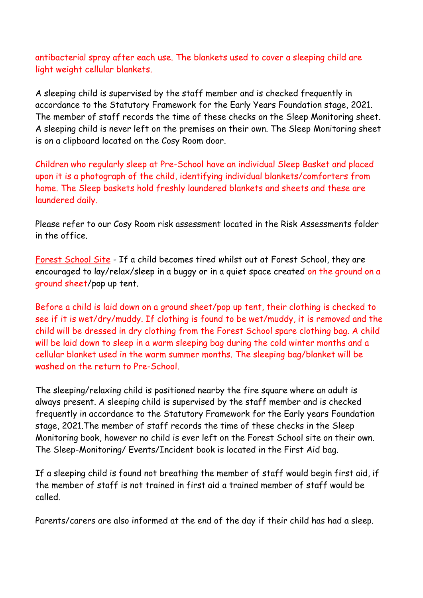antibacterial spray after each use. The blankets used to cover a sleeping child are light weight cellular blankets.

A sleeping child is supervised by the staff member and is checked frequently in accordance to the Statutory Framework for the Early Years Foundation stage, 2021. The member of staff records the time of these checks on the Sleep Monitoring sheet. A sleeping child is never left on the premises on their own. The Sleep Monitoring sheet is on a clipboard located on the Cosy Room door.

Children who regularly sleep at Pre-School have an individual Sleep Basket and placed upon it is a photograph of the child, identifying individual blankets/comforters from home. The Sleep baskets hold freshly laundered blankets and sheets and these are laundered daily.

Please refer to our Cosy Room risk assessment located in the Risk Assessments folder in the office.

Forest School Site - If a child becomes tired whilst out at Forest School, they are encouraged to lay/relax/sleep in a buggy or in a quiet space created on the ground on a ground sheet/pop up tent.

Before a child is laid down on a ground sheet/pop up tent, their clothing is checked to see if it is wet/dry/muddy. If clothing is found to be wet/muddy, it is removed and the child will be dressed in dry clothing from the Forest School spare clothing bag. A child will be laid down to sleep in a warm sleeping bag during the cold winter months and a cellular blanket used in the warm summer months. The sleeping bag/blanket will be washed on the return to Pre-School.

The sleeping/relaxing child is positioned nearby the fire square where an adult is always present. A sleeping child is supervised by the staff member and is checked frequently in accordance to the Statutory Framework for the Early years Foundation stage, 2021.The member of staff records the time of these checks in the Sleep Monitoring book, however no child is ever left on the Forest School site on their own. The Sleep-Monitoring/ Events/Incident book is located in the First Aid bag.

If a sleeping child is found not breathing the member of staff would begin first aid, if the member of staff is not trained in first aid a trained member of staff would be called.

Parents/carers are also informed at the end of the day if their child has had a sleep.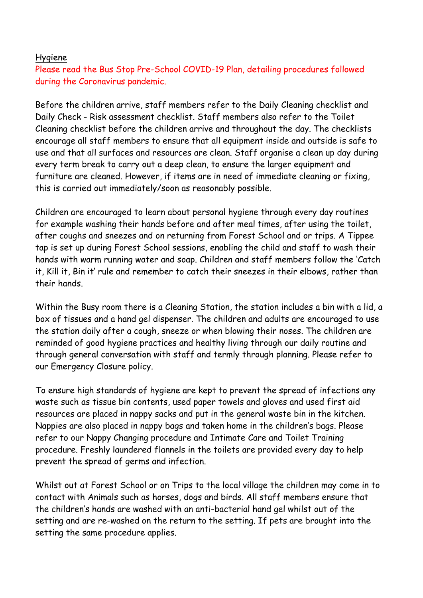#### Hygiene

Please read the Bus Stop Pre-School COVID-19 Plan, detailing procedures followed during the Coronavirus pandemic.

Before the children arrive, staff members refer to the Daily Cleaning checklist and Daily Check - Risk assessment checklist. Staff members also refer to the Toilet Cleaning checklist before the children arrive and throughout the day. The checklists encourage all staff members to ensure that all equipment inside and outside is safe to use and that all surfaces and resources are clean. Staff organise a clean up day during every term break to carry out a deep clean, to ensure the larger equipment and furniture are cleaned. However, if items are in need of immediate cleaning or fixing, this is carried out immediately/soon as reasonably possible.

Children are encouraged to learn about personal hygiene through every day routines for example washing their hands before and after meal times, after using the toilet, after coughs and sneezes and on returning from Forest School and or trips. A Tippee tap is set up during Forest School sessions, enabling the child and staff to wash their hands with warm running water and soap. Children and staff members follow the 'Catch it, Kill it, Bin it' rule and remember to catch their sneezes in their elbows, rather than their hands.

Within the Busy room there is a Cleaning Station, the station includes a bin with a lid, a box of tissues and a hand gel dispenser. The children and adults are encouraged to use the station daily after a cough, sneeze or when blowing their noses. The children are reminded of good hygiene practices and healthy living through our daily routine and through general conversation with staff and termly through planning. Please refer to our Emergency Closure policy.

To ensure high standards of hygiene are kept to prevent the spread of infections any waste such as tissue bin contents, used paper towels and gloves and used first aid resources are placed in nappy sacks and put in the general waste bin in the kitchen. Nappies are also placed in nappy bags and taken home in the children's bags. Please refer to our Nappy Changing procedure and Intimate Care and Toilet Training procedure. Freshly laundered flannels in the toilets are provided every day to help prevent the spread of germs and infection.

Whilst out at Forest School or on Trips to the local village the children may come in to contact with Animals such as horses, dogs and birds. All staff members ensure that the children's hands are washed with an anti-bacterial hand gel whilst out of the setting and are re-washed on the return to the setting. If pets are brought into the setting the same procedure applies.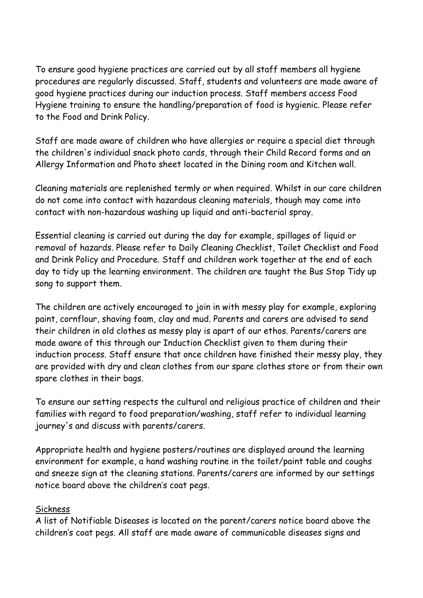To ensure good hygiene practices are carried out by all staff members all hygiene procedures are regularly discussed. Staff, students and volunteers are made aware of good hygiene practices during our induction process. Staff members access Food Hygiene training to ensure the handling/preparation of food is hygienic. Please refer to the Food and Drink Policy.

Staff are made aware of children who have allergies or require a special diet through the children's individual snack photo cards, through their Child Record forms and an Allergy Information and Photo sheet located in the Dining room and Kitchen wall.

Cleaning materials are replenished termly or when required. Whilst in our care children do not come into contact with hazardous cleaning materials, though may come into contact with non-hazardous washing up liquid and anti-bacterial spray.

Essential cleaning is carried out during the day for example, spillages of liquid or removal of hazards. Please refer to Daily Cleaning Checklist, Toilet Checklist and Food and Drink Policy and Procedure. Staff and children work together at the end of each day to tidy up the learning environment. The children are taught the Bus Stop Tidy up song to support them.

The children are actively encouraged to join in with messy play for example, exploring paint, cornflour, shaving foam, clay and mud. Parents and carers are advised to send their children in old clothes as messy play is apart of our ethos. Parents/carers are made aware of this through our Induction Checklist given to them during their induction process. Staff ensure that once children have finished their messy play, they are provided with dry and clean clothes from our spare clothes store or from their own spare clothes in their bags.

To ensure our setting respects the cultural and religious practice of children and their families with regard to food preparation/washing, staff refer to individual learning journey's and discuss with parents/carers.

Appropriate health and hygiene posters/routines are displayed around the learning environment for example, a hand washing routine in the toilet/paint table and coughs and sneeze sign at the cleaning stations. Parents/carers are informed by our settings notice board above the children's coat pegs.

### **Sickness**

A list of Notifiable Diseases is located on the parent/carers notice board above the children's coat pegs. All staff are made aware of communicable diseases signs and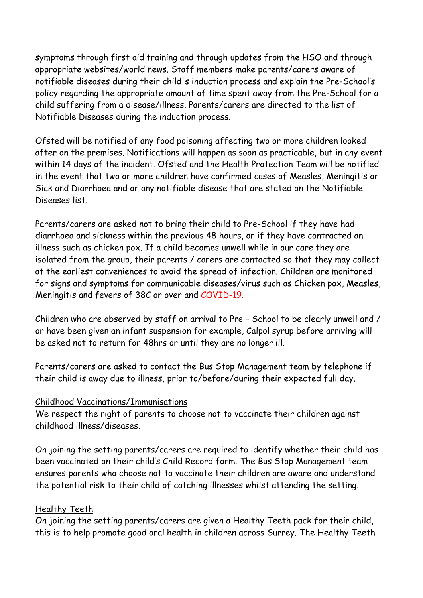symptoms through first aid training and through updates from the HSO and through appropriate websites/world news. Staff members make parents/carers aware of notifiable diseases during their child's induction process and explain the Pre-School's policy regarding the appropriate amount of time spent away from the Pre-School for a child suffering from a disease/illness. Parents/carers are directed to the list of Notifiable Diseases during the induction process.

Ofsted will be notified of any food poisoning affecting two or more children looked after on the premises. Notifications will happen as soon as practicable, but in any event within 14 days of the incident. Ofsted and the Health Protection Team will be notified in the event that two or more children have confirmed cases of Measles, Meningitis or Sick and Diarrhoea and or any notifiable disease that are stated on the Notifiable Diseases list.

Parents/carers are asked not to bring their child to Pre-School if they have had diarrhoea and sickness within the previous 48 hours, or if they have contracted an illness such as chicken pox. If a child becomes unwell while in our care they are isolated from the group, their parents / carers are contacted so that they may collect at the earliest conveniences to avoid the spread of infection. Children are monitored for signs and symptoms for communicable diseases/virus such as Chicken pox, Measles, Meningitis and fevers of 38C or over and COVID-19.

Children who are observed by staff on arrival to Pre – School to be clearly unwell and / or have been given an infant suspension for example, Calpol syrup before arriving will be asked not to return for 48hrs or until they are no longer ill.

Parents/carers are asked to contact the Bus Stop Management team by telephone if their child is away due to illness, prior to/before/during their expected full day.

### Childhood Vaccinations/Immunisations

We respect the right of parents to choose not to vaccinate their children against childhood illness/diseases.

On joining the setting parents/carers are required to identify whether their child has been vaccinated on their child's Child Record form. The Bus Stop Management team ensures parents who choose not to vaccinate their children are aware and understand the potential risk to their child of catching illnesses whilst attending the setting.

### Healthy Teeth

On joining the setting parents/carers are given a Healthy Teeth pack for their child, this is to help promote good oral health in children across Surrey. The Healthy Teeth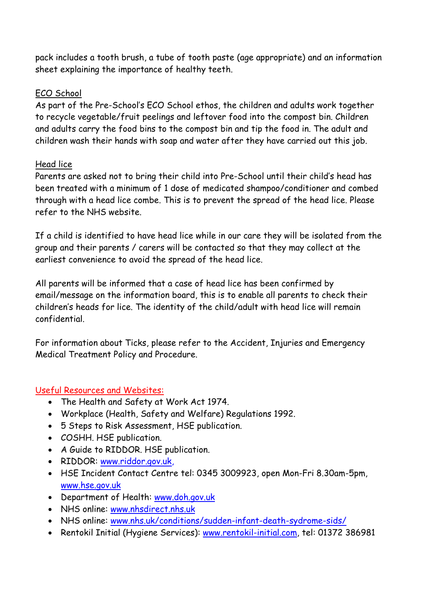pack includes a tooth brush, a tube of tooth paste (age appropriate) and an information sheet explaining the importance of healthy teeth.

### ECO School

As part of the Pre-School's ECO School ethos, the children and adults work together to recycle vegetable/fruit peelings and leftover food into the compost bin. Children and adults carry the food bins to the compost bin and tip the food in. The adult and children wash their hands with soap and water after they have carried out this job.

### Head lice

Parents are asked not to bring their child into Pre-School until their child's head has been treated with a minimum of 1 dose of medicated shampoo/conditioner and combed through with a head lice combe. This is to prevent the spread of the head lice. Please refer to the NHS website.

If a child is identified to have head lice while in our care they will be isolated from the group and their parents / carers will be contacted so that they may collect at the earliest convenience to avoid the spread of the head lice.

All parents will be informed that a case of head lice has been confirmed by email/message on the information board, this is to enable all parents to check their children's heads for lice. The identity of the child/adult with head lice will remain confidential.

For information about Ticks, please refer to the Accident, Injuries and Emergency Medical Treatment Policy and Procedure.

# Useful Resources and Websites:

- The Health and Safety at Work Act 1974.
- Workplace (Health, Safety and Welfare) Regulations 1992.
- 5 Steps to Risk Assessment, HSE publication.
- COSHH. HSE publication.
- A Guide to RIDDOR. HSE publication.
- RIDDOR: [www.riddor.gov.uk,](http://www.riddor.gov.uk/)
- HSE Incident Contact Centre tel: 0345 3009923, open Mon-Fri 8.30am-5pm, [www.hse.gov.uk](http://www.hse.gov.uk/)
- Department of Health: www.doh.gov.uk
- NHS online: [www.nhsdirect.nhs.uk](http://www.nhsdirect.nhs.uk/)
- NHS online: [www.nhs.uk/conditions/sudden-infant-death-sydrome-sids/](http://www.nhs.uk/conditions/sudden-infant-death-sydrome-sids/)
- Rentokil Initial (Hygiene Services): www.rentokil-initial.com, tel: 01372 386981